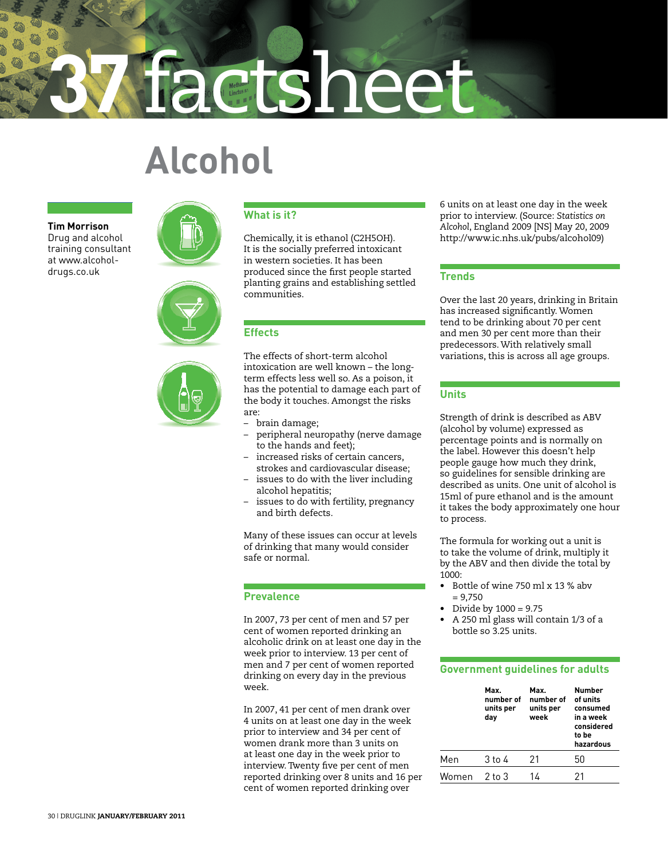# **37** factsheet

# **Alcohol**

**Tim Morrison** Drug and alcohol training consultant at www.alcoholdrugs.co.uk







#### **What is it?**

Chemically, it is ethanol (C2H5OH). It is the socially preferred intoxicant in western societies. It has been produced since the first people started planting grains and establishing settled communities.

# **Effects**

The effects of short-term alcohol intoxication are well known – the longterm effects less well so. As a poison, it has the potential to damage each part of the body it touches. Amongst the risks are:

- brain damage;
- peripheral neuropathy (nerve damage to the hands and feet);
- increased risks of certain cancers. strokes and cardiovascular disease;
- issues to do with the liver including alcohol hepatitis;
- issues to do with fertility, pregnancy and birth defects.

Many of these issues can occur at levels of drinking that many would consider safe or normal.

### **Prevalence**

In 2007, 73 per cent of men and 57 per cent of women reported drinking an alcoholic drink on at least one day in the week prior to interview. 13 per cent of men and 7 per cent of women reported drinking on every day in the previous week.

In 2007, 41 per cent of men drank over 4 units on at least one day in the week prior to interview and 34 per cent of women drank more than 3 units on at least one day in the week prior to interview. Twenty five per cent of men reported drinking over 8 units and 16 per cent of women reported drinking over

6 units on at least one day in the week prior to interview. (Source: *Statistics on Alcohol*, England 2009 [NS] May 20, 2009 http://www.ic.nhs.uk/pubs/alcohol09)

# **Trends**

Over the last 20 years, drinking in Britain has increased significantly. Women tend to be drinking about 70 per cent and men 30 per cent more than their predecessors. With relatively small variations, this is across all age groups.

# **Units**

Strength of drink is described as ABV (alcohol by volume) expressed as percentage points and is normally on the label. However this doesn't help people gauge how much they drink, so guidelines for sensible drinking are described as units. One unit of alcohol is 15ml of pure ethanol and is the amount it takes the body approximately one hour to process.

The formula for working out a unit is to take the volume of drink, multiply it by the ABV and then divide the total by 1000:

- Bottle of wine 750 ml x 13 % abv  $= 9.750$
- Divide by  $1000 = 9.75$
- A 250 ml glass will contain 1/3 of a bottle so 3.25 units.

### **Government guidelines for adults**

| Max.<br>number of<br>units per<br>day | Max.<br>number of<br>units per<br>week | Number<br>of units<br>consumed<br>in a week<br>considered<br>to be<br>hazardous |
|---------------------------------------|----------------------------------------|---------------------------------------------------------------------------------|
| 3 to 4                                | 21                                     | 50                                                                              |
| $2$ to $3$                            | 14                                     | 21                                                                              |
|                                       |                                        |                                                                                 |